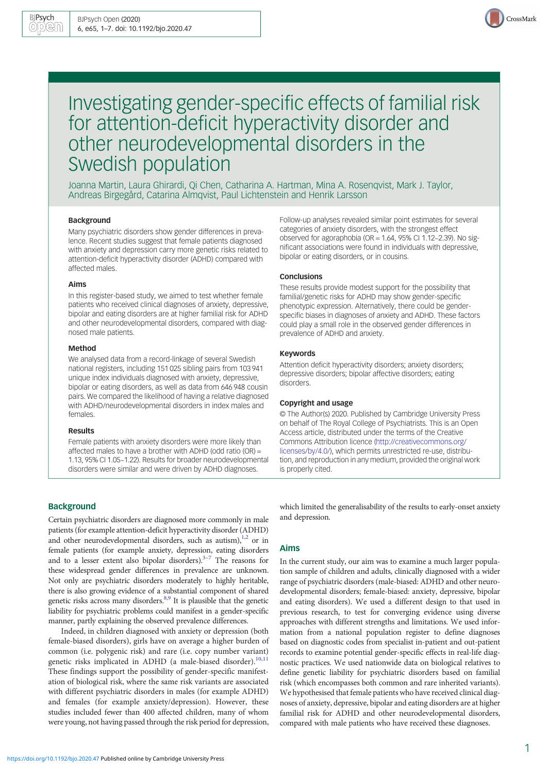

# Investigating gender-specific effects of familial risk for attention-deficit hyperactivity disorder and other neurodevelopmental disorders in the Swedish population

Joanna Martin, Laura Ghirardi, Qi Chen, Catharina A. Hartman, Mina A. Rosenqvist, Mark J. Taylor, Andreas Birgegård, Catarina Almqvist, Paul Lichtenstein and Henrik Larsson

#### **Background**

Many psychiatric disorders show gender differences in prevalence. Recent studies suggest that female patients diagnosed with anxiety and depression carry more genetic risks related to attention-deficit hyperactivity disorder (ADHD) compared with affected males.

#### Aims

In this register-based study, we aimed to test whether female patients who received clinical diagnoses of anxiety, depressive, bipolar and eating disorders are at higher familial risk for ADHD and other neurodevelopmental disorders, compared with diagnosed male patients.

#### Method

We analysed data from a record-linkage of several Swedish national registers, including 151 025 sibling pairs from 103 941 unique index individuals diagnosed with anxiety, depressive, bipolar or eating disorders, as well as data from 646 948 cousin pairs. We compared the likelihood of having a relative diagnosed with ADHD/neurodevelopmental disorders in index males and females

#### Results

Female patients with anxiety disorders were more likely than affected males to have a brother with ADHD (odd ratio (OR) = 1.13, 95% CI 1.05–1.22). Results for broader neurodevelopmental disorders were similar and were driven by ADHD diagnoses.

## **Background**

Certain psychiatric disorders are diagnosed more commonly in male patients (for example attention-deficit hyperactivity disorder (ADHD) and other neurodevelopmental disorders, such as autism), $1,2$  or in female patients (for example anxiety, depression, eating disorders and to a lesser extent also bipolar disorders).<sup>[3](#page-6-0)-[7](#page-6-0)</sup> The reasons for these widespread gender differences in prevalence are unknown. Not only are psychiatric disorders moderately to highly heritable, there is also growing evidence of a substantial component of shared genetic risks across many disorders[.8](#page-6-0),[9](#page-6-0) It is plausible that the genetic liability for psychiatric problems could manifest in a gender-specific manner, partly explaining the observed prevalence differences.

Indeed, in children diagnosed with anxiety or depression (both female-biased disorders), girls have on average a higher burden of common (i.e. polygenic risk) and rare (i.e. copy number variant) genetic risks implicated in ADHD (a male-biased disorder).<sup>10,11</sup> These findings support the possibility of gender-specific manifestation of biological risk, where the same risk variants are associated with different psychiatric disorders in males (for example ADHD) and females (for example anxiety/depression). However, these studies included fewer than 400 affected children, many of whom were young, not having passed through the risk period for depression,

Follow-up analyses revealed similar point estimates for several categories of anxiety disorders, with the strongest effect observed for agoraphobia ( $OR = 1.64$ ,  $95\%$  CI 1.12–2.39). No significant associations were found in individuals with depressive, bipolar or eating disorders, or in cousins.

## Conclusions

These results provide modest support for the possibility that familial/genetic risks for ADHD may show gender-specific phenotypic expression. Alternatively, there could be genderspecific biases in diagnoses of anxiety and ADHD. These factors could play a small role in the observed gender differences in prevalence of ADHD and anxiety.

#### Keywords

Attention deficit hyperactivity disorders; anxiety disorders; depressive disorders; bipolar affective disorders; eating disorders.

#### Copyright and usage

© The Author(s) 2020. Published by Cambridge University Press on behalf of The Royal College of Psychiatrists. This is an Open Access article, distributed under the terms of the Creative Commons Attribution licence [\(http://creativecommons.org/](http://creativecommons.org/licenses/by/4.0/) [licenses/by/4.0/](http://creativecommons.org/licenses/by/4.0/)), which permits unrestricted re-use, distribution, and reproduction in any medium, provided the original work is properly cited.

which limited the generalisability of the results to early-onset anxiety and depression.

## Aims

In the current study, our aim was to examine a much larger population sample of children and adults, clinically diagnosed with a wider range of psychiatric disorders (male-biased: ADHD and other neurodevelopmental disorders; female-biased: anxiety, depressive, bipolar and eating disorders). We used a different design to that used in previous research, to test for converging evidence using diverse approaches with different strengths and limitations. We used information from a national population register to define diagnoses based on diagnostic codes from specialist in-patient and out-patient records to examine potential gender-specific effects in real-life diagnostic practices. We used nationwide data on biological relatives to define genetic liability for psychiatric disorders based on familial risk (which encompasses both common and rare inherited variants). We hypothesised that female patients who have received clinical diagnoses of anxiety, depressive, bipolar and eating disorders are at higher familial risk for ADHD and other neurodevelopmental disorders, compared with male patients who have received these diagnoses.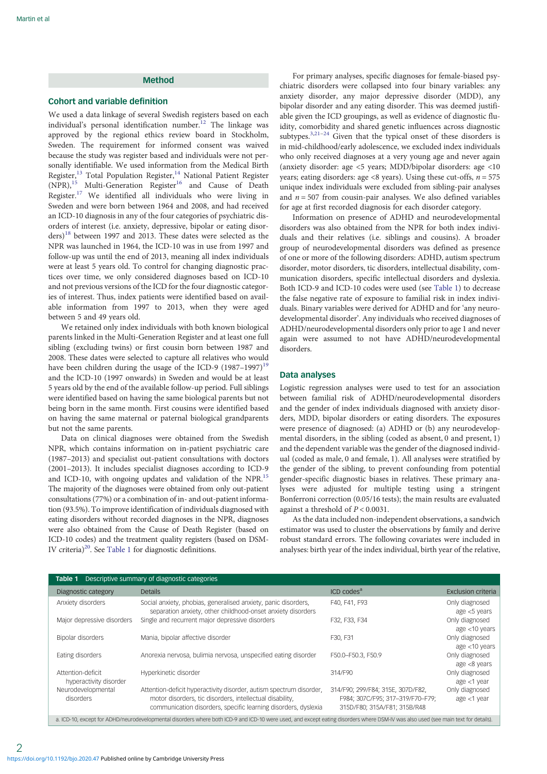# Method

# Cohort and variable definition

We used a data linkage of several Swedish registers based on each individual's personal identification number.<sup>[12](#page-6-0)</sup> The linkage was approved by the regional ethics review board in Stockholm, Sweden. The requirement for informed consent was waived because the study was register based and individuals were not personally identifiable. We used information from the Medical Birth Register,<sup>[13](#page-6-0)</sup> Total Population Register,<sup>[14](#page-6-0)</sup> National Patient Register (NPR),<sup>[15](#page-6-0)</sup> Multi-Generation Register<sup>[16](#page-6-0)</sup> and Cause of Death Register.[17](#page-6-0) We identified all individuals who were living in Sweden and were born between 1964 and 2008, and had received an ICD-10 diagnosis in any of the four categories of psychiatric disorders of interest (i.e. anxiety, depressive, bipolar or eating disor-ders)<sup>[18](#page-6-0)</sup> between 1997 and 2013. These dates were selected as the NPR was launched in 1964, the ICD-10 was in use from 1997 and follow-up was until the end of 2013, meaning all index individuals were at least 5 years old. To control for changing diagnostic practices over time, we only considered diagnoses based on ICD-10 and not previous versions of the ICD for the four diagnostic categories of interest. Thus, index patients were identified based on available information from 1997 to 2013, when they were aged between 5 and 49 years old.

We retained only index individuals with both known biological parents linked in the Multi-Generation Register and at least one full sibling (excluding twins) or first cousin born between 1987 and 2008. These dates were selected to capture all relatives who would have been children during the usage of the ICD-9  $(1987-1997)^{19}$  $(1987-1997)^{19}$  $(1987-1997)^{19}$ and the ICD-10 (1997 onwards) in Sweden and would be at least 5 years old by the end of the available follow-up period. Full siblings were identified based on having the same biological parents but not being born in the same month. First cousins were identified based on having the same maternal or paternal biological grandparents but not the same parents.

Data on clinical diagnoses were obtained from the Swedish NPR, which contains information on in-patient psychiatric care (1987–2013) and specialist out-patient consultations with doctors (2001–2013). It includes specialist diagnoses according to ICD-9 and ICD-10, with ongoing updates and validation of the NPR.<sup>15</sup> The majority of the diagnoses were obtained from only out-patient consultations (77%) or a combination of in- and out-patient information (93.5%). To improve identification of individuals diagnosed with eating disorders without recorded diagnoses in the NPR, diagnoses were also obtained from the Cause of Death Register (based on ICD-10 codes) and the treatment quality registers (based on DSM-IV criteria)<sup>[20](#page-6-0)</sup>. See Table 1 for diagnostic definitions.

For primary analyses, specific diagnoses for female-biased psychiatric disorders were collapsed into four binary variables: any anxiety disorder, any major depressive disorder (MDD), any bipolar disorder and any eating disorder. This was deemed justifiable given the ICD groupings, as well as evidence of diagnostic fluidity, comorbidity and shared genetic influences across diagnostic subtypes.<sup>[3,21](#page-6-0)-[24](#page-6-0)</sup> Given that the typical onset of these disorders is in mid-childhood/early adolescence, we excluded index individuals who only received diagnoses at a very young age and never again (anxiety disorder: age <5 years; MDD/bipolar disorders: age <10 years; eating disorders: age <8 years). Using these cut-offs,  $n = 575$ unique index individuals were excluded from sibling-pair analyses and  $n = 507$  from cousin-pair analyses. We also defined variables for age at first recorded diagnosis for each disorder category.

Information on presence of ADHD and neurodevelopmental disorders was also obtained from the NPR for both index individuals and their relatives (i.e. siblings and cousins). A broader group of neurodevelopmental disorders was defined as presence of one or more of the following disorders: ADHD, autism spectrum disorder, motor disorders, tic disorders, intellectual disability, communication disorders, specific intellectual disorders and dyslexia. Both ICD-9 and ICD-10 codes were used (see Table 1) to decrease the false negative rate of exposure to familial risk in index individuals. Binary variables were derived for ADHD and for 'any neurodevelopmental disorder'. Any individuals who received diagnoses of ADHD/neurodevelopmental disorders only prior to age 1 and never again were assumed to not have ADHD/neurodevelopmental disorders.

# Data analyses

Logistic regression analyses were used to test for an association between familial risk of ADHD/neurodevelopmental disorders and the gender of index individuals diagnosed with anxiety disorders, MDD, bipolar disorders or eating disorders. The exposures were presence of diagnosed: (a) ADHD or (b) any neurodevelopmental disorders, in the sibling (coded as absent, 0 and present, 1) and the dependent variable was the gender of the diagnosed individual (coded as male, 0 and female, 1). All analyses were stratified by the gender of the sibling, to prevent confounding from potential gender-specific diagnostic biases in relatives. These primary analyses were adjusted for multiple testing using a stringent Bonferroni correction (0.05/16 tests); the main results are evaluated against a threshold of  $P < 0.0031$ .

As the data included non-independent observations, a sandwich estimator was used to cluster the observations by family and derive robust standard errors. The following covariates were included in analyses: birth year of the index individual, birth year of the relative,

| Descriptive summary of diagnostic categories<br>Table 1                                                                                                                            |                                                                                                                                                                                                   |                                                                                                       |                                  |  |  |  |  |  |
|------------------------------------------------------------------------------------------------------------------------------------------------------------------------------------|---------------------------------------------------------------------------------------------------------------------------------------------------------------------------------------------------|-------------------------------------------------------------------------------------------------------|----------------------------------|--|--|--|--|--|
| Diagnostic category                                                                                                                                                                | <b>Details</b>                                                                                                                                                                                    | ICD codes <sup>a</sup>                                                                                | <b>Exclusion criteria</b>        |  |  |  |  |  |
| Anxiety disorders                                                                                                                                                                  | Social anxiety, phobias, generalised anxiety, panic disorders,<br>separation anxiety, other childhood-onset anxiety disorders                                                                     | F40, F41, F93                                                                                         | Only diagnosed<br>age <5 years   |  |  |  |  |  |
| Major depressive disorders                                                                                                                                                         | Single and recurrent major depressive disorders                                                                                                                                                   | F32, F33, F34                                                                                         | Only diagnosed<br>age <10 years  |  |  |  |  |  |
| Bipolar disorders                                                                                                                                                                  | Mania, bipolar affective disorder                                                                                                                                                                 | F30, F31                                                                                              | Only diagnosed<br>age <10 years  |  |  |  |  |  |
| Eating disorders                                                                                                                                                                   | Anorexia nervosa, bulimia nervosa, unspecified eating disorder                                                                                                                                    | F50.0-F50.3, F50.9                                                                                    | Only diagnosed<br>age <8 years   |  |  |  |  |  |
| Attention-deficit<br>hyperactivity disorder                                                                                                                                        | Hyperkinetic disorder                                                                                                                                                                             | 314/F90                                                                                               | Only diagnosed<br>$age < 1$ year |  |  |  |  |  |
| Neurodevelopmental<br>disorders                                                                                                                                                    | Attention-deficit hyperactivity disorder, autism spectrum disorder,<br>motor disorders, tic disorders, intellectual disability,<br>communication disorders, specific learning disorders, dyslexia | 314/F90; 299/F84; 315E, 307D/F82,<br>F984; 307C/F95; 317-319/F70-F79;<br>315D/F80; 315A/F81; 315B/R48 | Only diagnosed<br>$age < 1$ year |  |  |  |  |  |
| a. ICD-10, except for ADHD/neurodevelopmental disorders where both ICD-9 and ICD-10 were used, and except eating disorders where DSM-IV was also used (see main text for details). |                                                                                                                                                                                                   |                                                                                                       |                                  |  |  |  |  |  |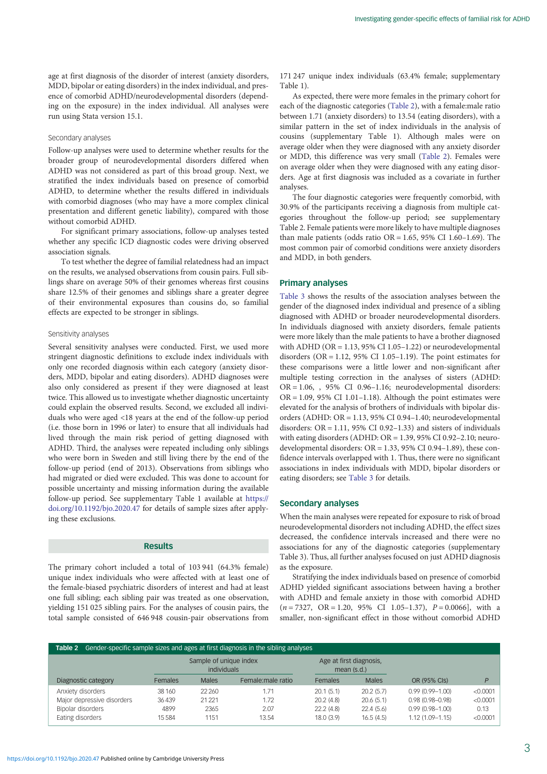<span id="page-2-0"></span>age at first diagnosis of the disorder of interest (anxiety disorders, MDD, bipolar or eating disorders) in the index individual, and presence of comorbid ADHD/neurodevelopmental disorders (depending on the exposure) in the index individual. All analyses were run using Stata version 15.1.

## Secondary analyses

Follow-up analyses were used to determine whether results for the broader group of neurodevelopmental disorders differed when ADHD was not considered as part of this broad group. Next, we stratified the index individuals based on presence of comorbid ADHD, to determine whether the results differed in individuals with comorbid diagnoses (who may have a more complex clinical presentation and different genetic liability), compared with those without comorbid ADHD.

For significant primary associations, follow-up analyses tested whether any specific ICD diagnostic codes were driving observed association signals.

To test whether the degree of familial relatedness had an impact on the results, we analysed observations from cousin pairs. Full siblings share on average 50% of their genomes whereas first cousins share 12.5% of their genomes and siblings share a greater degree of their environmental exposures than cousins do, so familial effects are expected to be stronger in siblings.

# Sensitivity analyses

Several sensitivity analyses were conducted. First, we used more stringent diagnostic definitions to exclude index individuals with only one recorded diagnosis within each category (anxiety disorders, MDD, bipolar and eating disorders). ADHD diagnoses were also only considered as present if they were diagnosed at least twice. This allowed us to investigate whether diagnostic uncertainty could explain the observed results. Second, we excluded all individuals who were aged <18 years at the end of the follow-up period (i.e. those born in 1996 or later) to ensure that all individuals had lived through the main risk period of getting diagnosed with ADHD. Third, the analyses were repeated including only siblings who were born in Sweden and still living there by the end of the follow-up period (end of 2013). Observations from siblings who had migrated or died were excluded. This was done to account for possible uncertainty and missing information during the available follow-up period. See supplementary Table 1 available at [https://](https://doi.org/10.1192/bjo.2020.47) [doi.org/10.1192/bjo.2020.47](https://doi.org/10.1192/bjo.2020.47) for details of sample sizes after applying these exclusions.

## Results

The primary cohort included a total of 103 941 (64.3% female) unique index individuals who were affected with at least one of the female-biased psychiatric disorders of interest and had at least one full sibling; each sibling pair was treated as one observation, yielding 151 025 sibling pairs. For the analyses of cousin pairs, the total sample consisted of 646 948 cousin-pair observations from

171 247 unique index individuals (63.4% female; supplementary Table 1).

As expected, there were more females in the primary cohort for each of the diagnostic categories (Table 2), with a female:male ratio between 1.71 (anxiety disorders) to 13.54 (eating disorders), with a similar pattern in the set of index individuals in the analysis of cousins (supplementary Table 1). Although males were on average older when they were diagnosed with any anxiety disorder or MDD, this difference was very small (Table 2). Females were on average older when they were diagnosed with any eating disorders. Age at first diagnosis was included as a covariate in further analyses.

The four diagnostic categories were frequently comorbid, with 30.9% of the participants receiving a diagnosis from multiple categories throughout the follow-up period; see supplementary Table 2. Female patients were more likely to have multiple diagnoses than male patients (odds ratio  $OR = 1.65$ , 95% CI 1.60-1.69). The most common pair of comorbid conditions were anxiety disorders and MDD, in both genders.

### Primary analyses

[Table 3](#page-3-0) shows the results of the association analyses between the gender of the diagnosed index individual and presence of a sibling diagnosed with ADHD or broader neurodevelopmental disorders. In individuals diagnosed with anxiety disorders, female patients were more likely than the male patients to have a brother diagnosed with ADHD (OR =  $1.13$ , 95% CI 1.05-1.22) or neurodevelopmental disorders ( $OR = 1.12$ ,  $95\%$  CI 1.05-1.19). The point estimates for these comparisons were a little lower and non-significant after multiple testing correction in the analyses of sisters (ADHD: OR = 1.06, , 95% CI 0.96–1.16; neurodevelopmental disorders:  $OR = 1.09$ , 95% CI 1.01-1.18). Although the point estimates were elevated for the analysis of brothers of individuals with bipolar disorders (ADHD: OR = 1.13, 95% CI 0.94–1.40; neurodevelopmental disorders:  $OR = 1.11$ , 95% CI 0.92-1.33) and sisters of individuals with eating disorders (ADHD: OR = 1.39, 95% CI 0.92–2.10; neurodevelopmental disorders: OR = 1.33, 95% CI 0.94–1.89), these confidence intervals overlapped with 1. Thus, there were no significant associations in index individuals with MDD, bipolar disorders or eating disorders; see [Table 3](#page-3-0) for details.

## Secondary analyses

When the main analyses were repeated for exposure to risk of broad neurodevelopmental disorders not including ADHD, the effect sizes decreased, the confidence intervals increased and there were no associations for any of the diagnostic categories (supplementary Table 3). Thus, all further analyses focused on just ADHD diagnosis as the exposure.

Stratifying the index individuals based on presence of comorbid ADHD yielded significant associations between having a brother with ADHD and female anxiety in those with comorbid ADHD  $(n = 7327, OR = 1.20, 95\% CI 1.05-1.37), P = 0.0066$ , with a smaller, non-significant effect in those without comorbid ADHD

| Gender-specific sample sizes and ages at first diagnosis in the sibling analyses<br>Table 2 |                                       |              |                    |                                        |              |                     |          |  |
|---------------------------------------------------------------------------------------------|---------------------------------------|--------------|--------------------|----------------------------------------|--------------|---------------------|----------|--|
|                                                                                             | Sample of unique index<br>individuals |              |                    | Age at first diagnosis,<br>mean (s.d.) |              |                     |          |  |
| Diagnostic category                                                                         | Females                               | <b>Males</b> | Female: male ratio | Females                                | <b>Males</b> | OR (95% CIS)        | P        |  |
| Anxiety disorders                                                                           | 38 160                                | 22,260       | 1.71               | 20.1(5.1)                              | 20.2(5.7)    | $0.99(0.99 - 1.00)$ | < 0.0001 |  |
| Major depressive disorders                                                                  | 36439                                 | 21 2 21      | 1.72               | 20.2(4.8)                              | 20.6(5.1)    | $0.98(0.98 - 0.98)$ | < 0.0001 |  |
| Bipolar disorders                                                                           | 4899                                  | 2365         | 2.07               | 22.2(4.8)                              | 22.4(5.6)    | $0.99(0.98 - 1.00)$ | 0.13     |  |
| Eating disorders                                                                            | 15584                                 | 1151         | 13.54              | 18.0(3.9)                              | 16.5(4.5)    | $1.12(1.09 - 1.15)$ | < 0.0001 |  |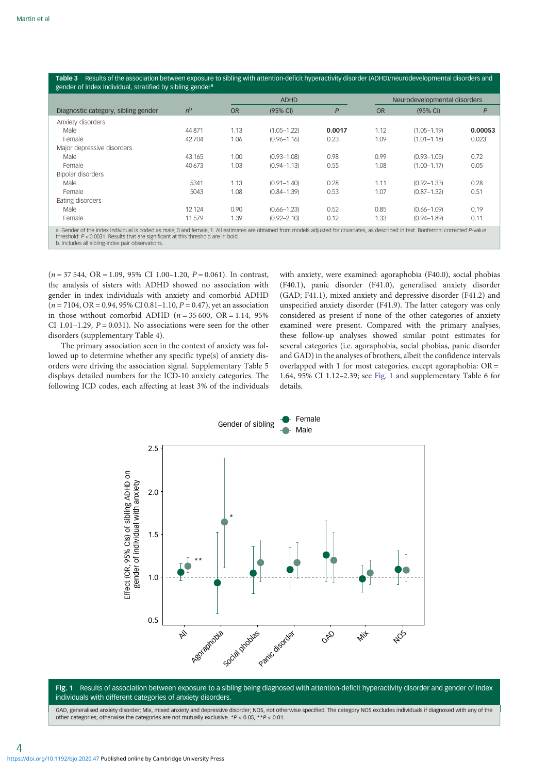<span id="page-3-0"></span>

| Results of the association between exposure to sibling with attention-deficit hyperactivity disorder (ADHD)/neurodevelopmental disorders and<br>Table 3<br>gender of index individual, stratified by sibling gender <sup>a</sup>                                                                                                     |                |             |                 |        |                              |                 |         |  |
|--------------------------------------------------------------------------------------------------------------------------------------------------------------------------------------------------------------------------------------------------------------------------------------------------------------------------------------|----------------|-------------|-----------------|--------|------------------------------|-----------------|---------|--|
|                                                                                                                                                                                                                                                                                                                                      |                | <b>ADHD</b> |                 |        | Neurodevelopmental disorders |                 |         |  |
| Diagnostic category, sibling gender                                                                                                                                                                                                                                                                                                  | n <sup>b</sup> | <b>OR</b>   | (95% CI)        | P      | <b>OR</b>                    | (95% CI)        | P       |  |
| Anxiety disorders                                                                                                                                                                                                                                                                                                                    |                |             |                 |        |                              |                 |         |  |
| Male                                                                                                                                                                                                                                                                                                                                 | 44 871         | 1.13        | $(1.05 - 1.22)$ | 0.0017 | 1.12                         | $(1.05 - 1.19)$ | 0.00053 |  |
| Female                                                                                                                                                                                                                                                                                                                               | 42704          | 1.06        | $(0.96 - 1.16)$ | 0.23   | 1.09                         | $(1.01 - 1.18)$ | 0.023   |  |
| Major depressive disorders                                                                                                                                                                                                                                                                                                           |                |             |                 |        |                              |                 |         |  |
| Male                                                                                                                                                                                                                                                                                                                                 | 43 165         | 1.00        | $(0.93 - 1.08)$ | 0.98   | 0.99                         | $(0.93 - 1.05)$ | 0.72    |  |
| Female                                                                                                                                                                                                                                                                                                                               | 40673          | 1.03        | $(0.94 - 1.13)$ | 0.55   | 1.08                         | $(1.00 - 1.17)$ | 0.05    |  |
| Bipolar disorders                                                                                                                                                                                                                                                                                                                    |                |             |                 |        |                              |                 |         |  |
| Male                                                                                                                                                                                                                                                                                                                                 | 5341           | 1.13        | $(0.91 - 1.40)$ | 0.28   | 1.11                         | $(0.92 - 1.33)$ | 0.28    |  |
| Female                                                                                                                                                                                                                                                                                                                               | 5043           | 1.08        | $(0.84 - 1.39)$ | 0.53   | 1.07                         | $(0.87 - 1.32)$ | 0.51    |  |
| Eating disorders                                                                                                                                                                                                                                                                                                                     |                |             |                 |        |                              |                 |         |  |
| Male                                                                                                                                                                                                                                                                                                                                 | 12 1 24        | 0.90        | $(0.66 - 1.23)$ | 0.52   | 0.85                         | $(0.66 - 1.09)$ | 0.19    |  |
| Female                                                                                                                                                                                                                                                                                                                               | 11579          | 1.39        | $(0.92 - 2.10)$ | 0.12   | 1.33                         | $(0.94 - 1.89)$ | 0.11    |  |
| a. Gender of the index individual is coded as male, 0 and female, 1. All estimates are obtained from models adjusted for covariates, as described in text. Bonferroni corrected P-value<br>threshold: $P < 0.0031$ . Results that are significant at this threshold are in bold.<br>b. Includes all sibling-index pair observations. |                |             |                 |        |                              |                 |         |  |

 $(n = 37544, \text{ OR} = 1.09, 95\% \text{ CI } 1.00-1.20, P = 0.061)$ . In contrast, the analysis of sisters with ADHD showed no association with gender in index individuals with anxiety and comorbid ADHD  $(n = 7104, \text{OR} = 0.94, 95\% \text{ CI } 0.81 - 1.10, P = 0.47)$ , yet an association in those without comorbid ADHD ( $n = 35,600$ , OR = 1.14, 95%) CI 1.01–1.29,  $P = 0.031$ ). No associations were seen for the other disorders (supplementary Table 4).

The primary association seen in the context of anxiety was followed up to determine whether any specific type(s) of anxiety disorders were driving the association signal. Supplementary Table 5 displays detailed numbers for the ICD-10 anxiety categories. The following ICD codes, each affecting at least 3% of the individuals with anxiety, were examined: agoraphobia (F40.0), social phobias (F40.1), panic disorder (F41.0), generalised anxiety disorder (GAD; F41.1), mixed anxiety and depressive disorder (F41.2) and unspecified anxiety disorder (F41.9). The latter category was only considered as present if none of the other categories of anxiety examined were present. Compared with the primary analyses, these follow-up analyses showed similar point estimates for several categories (i.e. agoraphobia, social phobias, panic disorder and GAD) in the analyses of brothers, albeit the confidence intervals overlapped with 1 for most categories, except agoraphobia: OR = 1.64, 95% CI 1.12–2.39; see Fig. 1 and supplementary Table 6 for details.



Fig. 1 Results of association between exposure to a sibling being diagnosed with attention-deficit hyperactivity disorder and gender of index individuals with different categories of anxiety disorders.

GAD, generalised anxiety disorder; Mix, mixed anxiety and depressive disorder; NOS, not otherwise specified. The category NOS excludes individuals if diagnosed with any of the other categories; otherwise the categories are not mutually exclusive. \*P < 0.05, \*\*P < 0.01.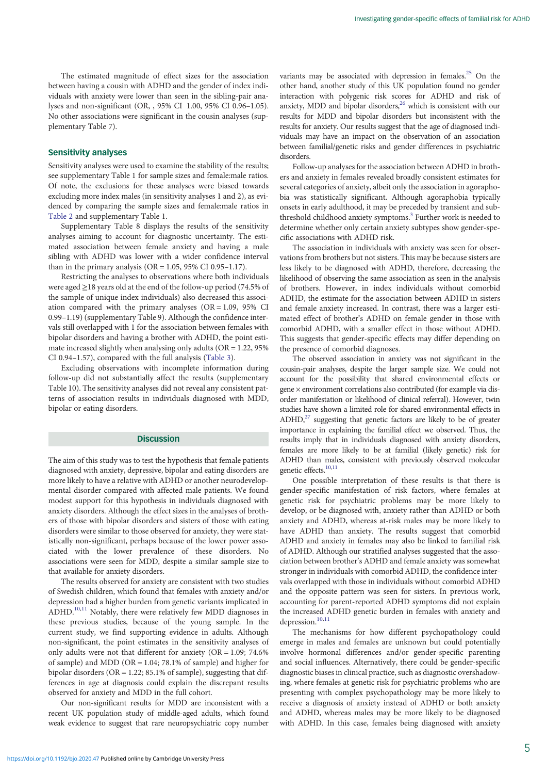The estimated magnitude of effect sizes for the association between having a cousin with ADHD and the gender of index individuals with anxiety were lower than seen in the sibling-pair analyses and non-significant (OR, , 95% CI 1.00, 95% CI 0.96–1.05). No other associations were significant in the cousin analyses (supplementary Table 7).

## Sensitivity analyses

Sensitivity analyses were used to examine the stability of the results; see supplementary Table 1 for sample sizes and female:male ratios. Of note, the exclusions for these analyses were biased towards excluding more index males (in sensitivity analyses 1 and 2), as evidenced by comparing the sample sizes and female:male ratios in [Table 2](#page-2-0) and supplementary Table 1.

Supplementary Table 8 displays the results of the sensitivity analyses aiming to account for diagnostic uncertainty. The estimated association between female anxiety and having a male sibling with ADHD was lower with a wider confidence interval than in the primary analysis ( $OR = 1.05$ ,  $95\%$  CI 0.95-1.17).

Restricting the analyses to observations where both individuals were aged ≥18 years old at the end of the follow-up period (74.5% of the sample of unique index individuals) also decreased this association compared with the primary analyses  $(OR = 1.09, 95\% \text{ CI})$ 0.99–1.19) (supplementary Table 9). Although the confidence intervals still overlapped with 1 for the association between females with bipolar disorders and having a brother with ADHD, the point estimate increased slightly when analysing only adults ( $OR = 1.22$ , 95%) CI 0.94–1.57), compared with the full analysis [\(Table 3](#page-3-0)).

Excluding observations with incomplete information during follow-up did not substantially affect the results (supplementary Table 10). The sensitivity analyses did not reveal any consistent patterns of association results in individuals diagnosed with MDD, bipolar or eating disorders.

## **Discussion**

The aim of this study was to test the hypothesis that female patients diagnosed with anxiety, depressive, bipolar and eating disorders are more likely to have a relative with ADHD or another neurodevelopmental disorder compared with affected male patients. We found modest support for this hypothesis in individuals diagnosed with anxiety disorders. Although the effect sizes in the analyses of brothers of those with bipolar disorders and sisters of those with eating disorders were similar to those observed for anxiety, they were statistically non-significant, perhaps because of the lower power associated with the lower prevalence of these disorders. No associations were seen for MDD, despite a similar sample size to that available for anxiety disorders.

The results observed for anxiety are consistent with two studies of Swedish children, which found that females with anxiety and/or depression had a higher burden from genetic variants implicated in ADHD.<sup>[10](#page-6-0),[11](#page-6-0)</sup> Notably, there were relatively few MDD diagnoses in these previous studies, because of the young sample. In the current study, we find supporting evidence in adults. Although non-significant, the point estimates in the sensitivity analyses of only adults were not that different for anxiety (OR = 1.09; 74.6% of sample) and MDD (OR = 1.04; 78.1% of sample) and higher for bipolar disorders ( $OR = 1.22$ ; 85.1% of sample), suggesting that differences in age at diagnosis could explain the discrepant results observed for anxiety and MDD in the full cohort.

Our non-significant results for MDD are inconsistent with a recent UK population study of middle-aged adults, which found weak evidence to suggest that rare neuropsychiatric copy number variants may be associated with depression in females.<sup>25</sup> On the other hand, another study of this UK population found no gender interaction with polygenic risk scores for ADHD and risk of anxiety, MDD and bipolar disorders,<sup>26</sup> which is consistent with our results for MDD and bipolar disorders but inconsistent with the results for anxiety. Our results suggest that the age of diagnosed individuals may have an impact on the observation of an association between familial/genetic risks and gender differences in psychiatric disorders.

Follow-up analyses for the association between ADHD in brothers and anxiety in females revealed broadly consistent estimates for several categories of anxiety, albeit only the association in agoraphobia was statistically significant. Although agoraphobia typically onsets in early adulthood, it may be preceded by transient and subthreshold childhood anxiety symptoms.<sup>3</sup> Further work is needed to determine whether only certain anxiety subtypes show gender-specific associations with ADHD risk.

The association in individuals with anxiety was seen for observations from brothers but not sisters. This may be because sisters are less likely to be diagnosed with ADHD, therefore, decreasing the likelihood of observing the same association as seen in the analysis of brothers. However, in index individuals without comorbid ADHD, the estimate for the association between ADHD in sisters and female anxiety increased. In contrast, there was a larger estimated effect of brother's ADHD on female gender in those with comorbid ADHD, with a smaller effect in those without ADHD. This suggests that gender-specific effects may differ depending on the presence of comorbid diagnoses.

The observed association in anxiety was not significant in the cousin-pair analyses, despite the larger sample size. We could not account for the possibility that shared environmental effects or gene × environment correlations also contributed (for example via disorder manifestation or likelihood of clinical referral). However, twin studies have shown a limited role for shared environmental effects in  $ADHD<sup>27</sup>$  $ADHD<sup>27</sup>$  $ADHD<sup>27</sup>$  suggesting that genetic factors are likely to be of greater importance in explaining the familial effect we observed. Thus, the results imply that in individuals diagnosed with anxiety disorders, females are more likely to be at familial (likely genetic) risk for ADHD than males, consistent with previously observed molecular genetic effects[.10,11](#page-6-0)

One possible interpretation of these results is that there is gender-specific manifestation of risk factors, where females at genetic risk for psychiatric problems may be more likely to develop, or be diagnosed with, anxiety rather than ADHD or both anxiety and ADHD, whereas at-risk males may be more likely to have ADHD than anxiety. The results suggest that comorbid ADHD and anxiety in females may also be linked to familial risk of ADHD. Although our stratified analyses suggested that the association between brother's ADHD and female anxiety was somewhat stronger in individuals with comorbid ADHD, the confidence intervals overlapped with those in individuals without comorbid ADHD and the opposite pattern was seen for sisters. In previous work, accounting for parent-reported ADHD symptoms did not explain the increased ADHD genetic burden in females with anxiety and depression.<sup>[10](#page-6-0),[11](#page-6-0)</sup>

The mechanisms for how different psychopathology could emerge in males and females are unknown but could potentially involve hormonal differences and/or gender-specific parenting and social influences. Alternatively, there could be gender-specific diagnostic biases in clinical practice, such as diagnostic overshadowing, where females at genetic risk for psychiatric problems who are presenting with complex psychopathology may be more likely to receive a diagnosis of anxiety instead of ADHD or both anxiety and ADHD, whereas males may be more likely to be diagnosed with ADHD. In this case, females being diagnosed with anxiety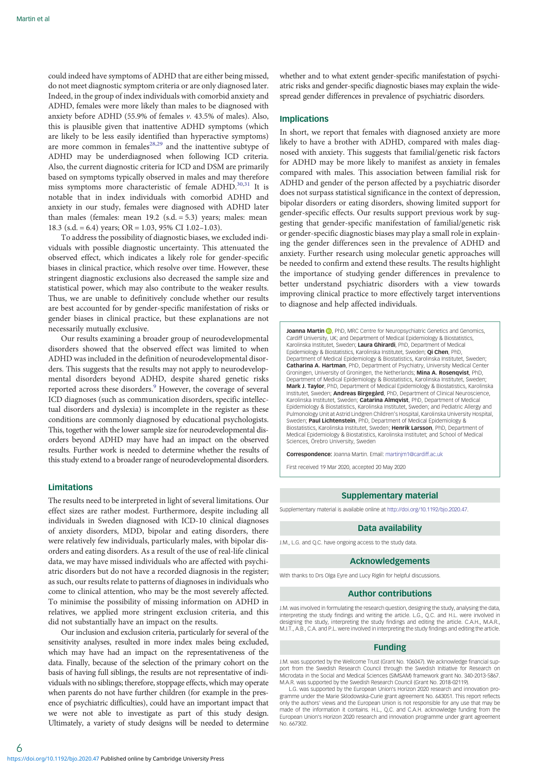could indeed have symptoms of ADHD that are either being missed, do not meet diagnostic symptom criteria or are only diagnosed later. Indeed, in the group of index individuals with comorbid anxiety and ADHD, females were more likely than males to be diagnosed with anxiety before ADHD (55.9% of females v. 43.5% of males). Also, this is plausible given that inattentive ADHD symptoms (which are likely to be less easily identified than hyperactive symptoms) are more common in females<sup>[28](#page-6-0),[29](#page-6-0)</sup> and the inattentive subtype of ADHD may be underdiagnosed when following ICD criteria. Also, the current diagnostic criteria for ICD and DSM are primarily based on symptoms typically observed in males and may therefore miss symptoms more characteristic of female ADHD.<sup>[30](#page-6-0),[31](#page-6-0)</sup> It is notable that in index individuals with comorbid ADHD and anxiety in our study, females were diagnosed with ADHD later than males (females: mean  $19.2$  (s.d. = 5.3) years; males: mean 18.3 (s.d. = 6.4) years; OR = 1.03, 95% CI 1.02-1.03).

To address the possibility of diagnostic biases, we excluded individuals with possible diagnostic uncertainty. This attenuated the observed effect, which indicates a likely role for gender-specific biases in clinical practice, which resolve over time. However, these stringent diagnostic exclusions also decreased the sample size and statistical power, which may also contribute to the weaker results. Thus, we are unable to definitively conclude whether our results are best accounted for by gender-specific manifestation of risks or gender biases in clinical practice, but these explanations are not necessarily mutually exclusive.

Our results examining a broader group of neurodevelopmental disorders showed that the observed effect was limited to when ADHD was included in the definition of neurodevelopmental disorders. This suggests that the results may not apply to neurodevelopmental disorders beyond ADHD, despite shared genetic risks reported across these disorders.<sup>[9](#page-6-0)</sup> However, the coverage of several ICD diagnoses (such as communication disorders, specific intellectual disorders and dyslexia) is incomplete in the register as these conditions are commonly diagnosed by educational psychologists. This, together with the lower sample size for neurodevelopmental disorders beyond ADHD may have had an impact on the observed results. Further work is needed to determine whether the results of this study extend to a broader range of neurodevelopmental disorders.

## Limitations

The results need to be interpreted in light of several limitations. Our effect sizes are rather modest. Furthermore, despite including all individuals in Sweden diagnosed with ICD-10 clinical diagnoses of anxiety disorders, MDD, bipolar and eating disorders, there were relatively few individuals, particularly males, with bipolar disorders and eating disorders. As a result of the use of real-life clinical data, we may have missed individuals who are affected with psychiatric disorders but do not have a recorded diagnosis in the register; as such, our results relate to patterns of diagnoses in individuals who come to clinical attention, who may be the most severely affected. To minimise the possibility of missing information on ADHD in relatives, we applied more stringent exclusion criteria, and this did not substantially have an impact on the results.

Our inclusion and exclusion criteria, particularly for several of the sensitivity analyses, resulted in more index males being excluded, which may have had an impact on the representativeness of the data. Finally, because of the selection of the primary cohort on the basis of having full siblings, the results are not representative of individuals with no siblings; therefore, stoppage effects, which may operate when parents do not have further children (for example in the presence of psychiatric difficulties), could have an important impact that we were not able to investigate as part of this study design. Ultimately, a variety of study designs will be needed to determine

whether and to what extent gender-specific manifestation of psychiatric risks and gender-specific diagnostic biases may explain the widespread gender differences in prevalence of psychiatric disorders.

### Implications

In short, we report that females with diagnosed anxiety are more likely to have a brother with ADHD, compared with males diagnosed with anxiety. This suggests that familial/genetic risk factors for ADHD may be more likely to manifest as anxiety in females compared with males. This association between familial risk for ADHD and gender of the person affected by a psychiatric disorder does not surpass statistical significance in the context of depression, bipolar disorders or eating disorders, showing limited support for gender-specific effects. Our results support previous work by suggesting that gender-specific manifestation of familial/genetic risk or gender-specific diagnostic biases may play a small role in explaining the gender differences seen in the prevalence of ADHD and anxiety. Further research using molecular genetic approaches will be needed to confirm and extend these results. The results highlight the importance of studying gender differences in prevalence to better understand psychiatric disorders with a view towards improving clinical practice to more effectively target interventions to diagnose and help affected individuals.

**Joanna Martin D**, PhD, MRC Centre for Neuropsychiatric Genetics and Genomics Cardiff University, UK; and Department of Medical Epidemiology & Biostatistics, Karolinska Institutet, Sweden; Laura Ghirardi, PhD, Department of Medical Epidemiology & Biostatistics, Karolinska Institutet, Sweden; Qi Chen, PhD, Department of Medical Epidemiology & Biostatistics, Karolinska Institutet, Sweden; Catharina A. Hartman, PhD, Department of Psychiatry, University Medical Center Groningen, University of Groningen, the Netherlands; Mina A. Rosenqvist, PhD, Department of Medical Epidemiology & Biostatistics, Karolinska Institutet, Sweden; Mark J. Taylor, PhD, Department of Medical Epidemiology & Biostatistics, Karolinska Institutet, Sweden; Andreas Birgegård, PhD, Department of Clinical Neuroscience, Karolinska Institutet, Sweden; Catarina Almqvist, PhD, Department of Medical Epidemiology & Biostatistics, Karolinska Institutet, Sweden; and Pediatric Allergy and Pulmonology Unit at Astrid Lindgren Children's Hospital, Karolinska University Hospital,<br>Sweden; **Paul Lichtenstein**, PhD, Department of Medical Epidemiology & Biostatistics, Karolinska Institutet, Sweden; Henrik Larsson, PhD, Department of Medical Epidemiology & Biostatistics, Karolinska Institutet; and School of Medical Sciences, Örebro University, Sweden

Correspondence: Joanna Martin. Email: martinim1@cardiff.ac.uk

First received 19 Mar 2020, accepted 20 May 2020

### Supplementary material

Supplementary material is available online at [http://doi.org/10.1192/bjo.2020.47.](http://doi.org/10.1192/bjo.2020.47)

#### Data availability

J.M., L.G. and Q.C. have ongoing access to the study data.

### Acknowledgements

With thanks to Drs Olga Eyre and Lucy Riglin for helpful discussions.

## Author contributions

J.M. was involved in formulating the research question, designing the study, analysing the data, interpreting the study findings and writing the article. L.G.,  $\Omega$ C. and H.L. were involved in designing the study, interpreting the study findings and editing the article. C.A.H., M.A.R., M.J.T., A.B., C.A. and P.L. were involved in interpreting the study findings and editing the article.

### Funding

J.M. was supported by the Wellcome Trust (Grant No. 106047). We acknowledge financial support from the Swedish Research Council through the Swedish Initiative for Research on Microdata in the Social and Medical Sciences (SIMSAM) framework grant No. 340-2013-5867. M.A.R. was supported by the Swedish Research Council (Grant No. 2018-02119).

L.G. was supported by the European Union's Horizon 2020 research and innovation programme under the Marie Sklodowska-Curie grant agreement No. 643051. This report reflects only the authors' views and the European Union is not responsible for any use that may be end of the information it contains. H.L., Q.C. and C.A.H. acknowledge funding from the European Union's Horizon 2020 research and innovation programme under grant agreement No. 667302.